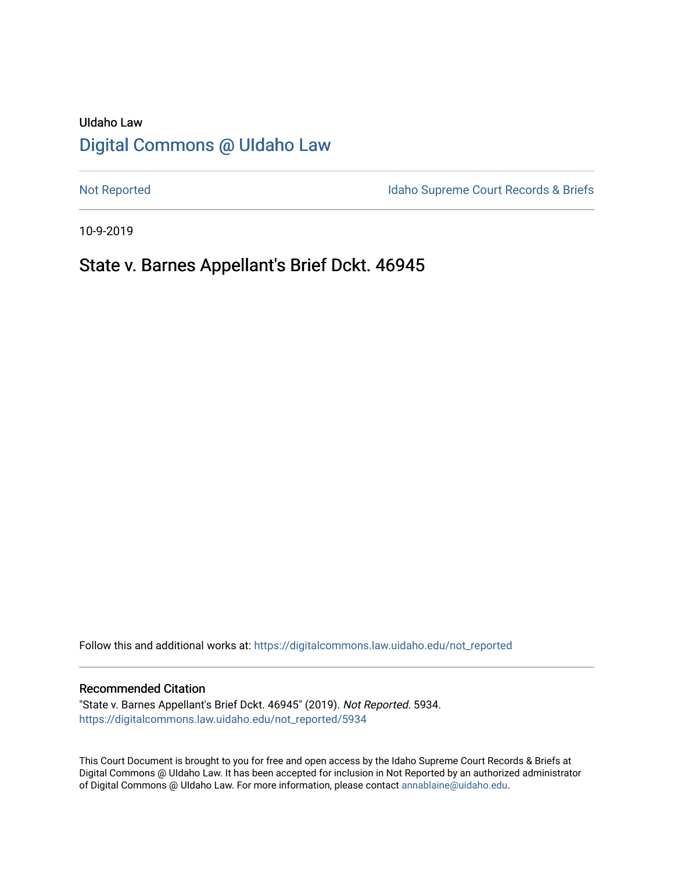# UIdaho Law [Digital Commons @ UIdaho Law](https://digitalcommons.law.uidaho.edu/)

[Not Reported](https://digitalcommons.law.uidaho.edu/not_reported) **Idaho Supreme Court Records & Briefs** 

10-9-2019

# State v. Barnes Appellant's Brief Dckt. 46945

Follow this and additional works at: [https://digitalcommons.law.uidaho.edu/not\\_reported](https://digitalcommons.law.uidaho.edu/not_reported?utm_source=digitalcommons.law.uidaho.edu%2Fnot_reported%2F5934&utm_medium=PDF&utm_campaign=PDFCoverPages) 

#### Recommended Citation

"State v. Barnes Appellant's Brief Dckt. 46945" (2019). Not Reported. 5934. [https://digitalcommons.law.uidaho.edu/not\\_reported/5934](https://digitalcommons.law.uidaho.edu/not_reported/5934?utm_source=digitalcommons.law.uidaho.edu%2Fnot_reported%2F5934&utm_medium=PDF&utm_campaign=PDFCoverPages)

This Court Document is brought to you for free and open access by the Idaho Supreme Court Records & Briefs at Digital Commons @ UIdaho Law. It has been accepted for inclusion in Not Reported by an authorized administrator of Digital Commons @ UIdaho Law. For more information, please contact [annablaine@uidaho.edu](mailto:annablaine@uidaho.edu).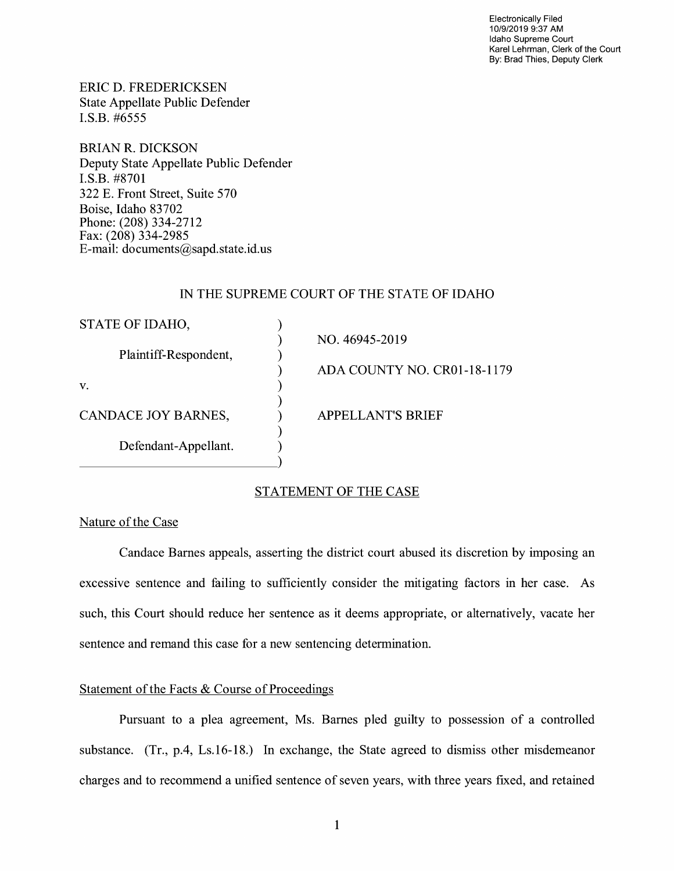Electronically Filed 10/9/2019 9:37 **AM**  Idaho Supreme Court Karel Lehrman, Clerk of the Court By: Brad Thies, Deputy Clerk

ERIC D. FREDERICKSEN State Appellate Public Defender I.S.B. #6555

BRIAN R. DICKSON Deputy State Appellate Public Defender I.S.B. #8701 322 E. Front Street, Suite 570 Boise, Idaho 83702 Phone: (208) 334-2712 Fax: (208) 334-2985 E-mail: documents@sapd.state.id. us

## IN THE SUPREME COURT OF THE STATE OF IDAHO

| STATE OF IDAHO,       |                             |
|-----------------------|-----------------------------|
|                       | NO. 46945-2019              |
| Plaintiff-Respondent, |                             |
|                       | ADA COUNTY NO. CR01-18-1179 |
| V.                    |                             |
| CANDACE JOY BARNES,   | <b>APPELLANT'S BRIEF</b>    |
| Defendant-Appellant.  |                             |
|                       |                             |

# STATEMENT OF THE CASE

# Nature of the Case

Candace Barnes appeals, asserting the district court abused its discretion by imposing an excessive sentence and failing to sufficiently consider the mitigating factors in her case. As such, this Court should reduce her sentence as it deems appropriate, or alternatively, vacate her sentence and remand this case for a new sentencing determination.

### Statement of the Facts & Course of Proceedings

Pursuant to a plea agreement, Ms. Barnes pied guilty to possession of a controlled substance. (Tr., p.4, Ls.16-18.) In exchange, the State agreed to dismiss other misdemeanor charges and to recommend a unified sentence of seven years, with three years fixed, and retained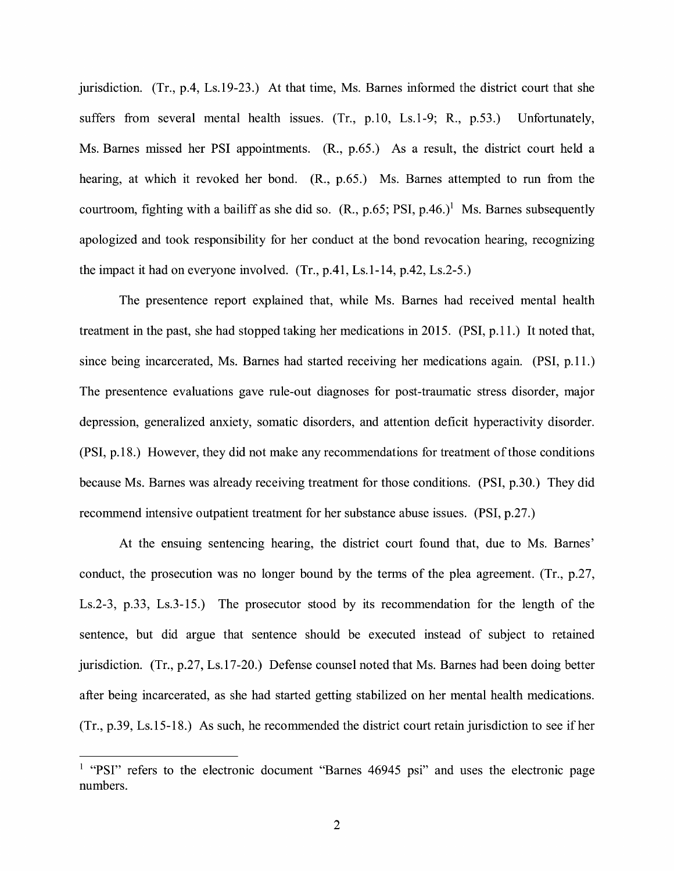jurisdiction. (Tr., p.4, Ls.19-23.) At that time, Ms. Barnes informed the district court that she suffers from several mental health issues. (Tr., p.10, Ls.1-9; R., p.53.) Unfortunately, Ms. Barnes missed her PSI appointments. (R., p.65.) As a result, the district court held a hearing, at which it revoked her bond. (R., p.65.) Ms. Barnes attempted to run from the courtroom, fighting with a bailiff as she did so.  $(R., p.65; PSI, p.46.)<sup>1</sup>$  Ms. Barnes subsequently apologized and took responsibility for her conduct at the bond revocation hearing, recognizing the impact it had on everyone involved. (Tr., p.41, Ls.1-14, p.42, Ls.2-5.)

The presentence report explained that, while Ms. Barnes had received mental health treatment in the past, she had stopped taking her medications in 2015. (PSI, p.11.) It noted that, since being incarcerated, Ms. Barnes had started receiving her medications again. (PSI, p.11.) The presentence evaluations gave rule-out diagnoses for post-traumatic stress disorder, major depression, generalized anxiety, somatic disorders, and attention deficit hyperactivity disorder. (PSI, p.18.) However, they did not make any recommendations for treatment of those conditions because Ms. Barnes was already receiving treatment for those conditions. (PSI, p.30.) They did recommend intensive outpatient treatment for her substance abuse issues. (PSI, p.27.)

At the ensuing sentencing hearing, the district court found that, due to Ms. Barnes' conduct, the prosecution was no longer bound by the terms of the plea agreement. (Tr., p.27, Ls.2-3, p.33, Ls.3-15.) The prosecutor stood by its recommendation for the length of the sentence, but did argue that sentence should be executed instead of subject to retained jurisdiction. (Tr., p.27, Ls.17-20.) Defense counsel noted that Ms. Barnes had been doing better after being incarcerated, as she had started getting stabilized on her mental health medications. (Tr., p.39, Ls.15-18.) As such, he recommended the district court retain jurisdiction to see if her

<sup>&</sup>lt;sup>1</sup> "PSI" refers to the electronic document "Barnes 46945 psi" and uses the electronic page numbers.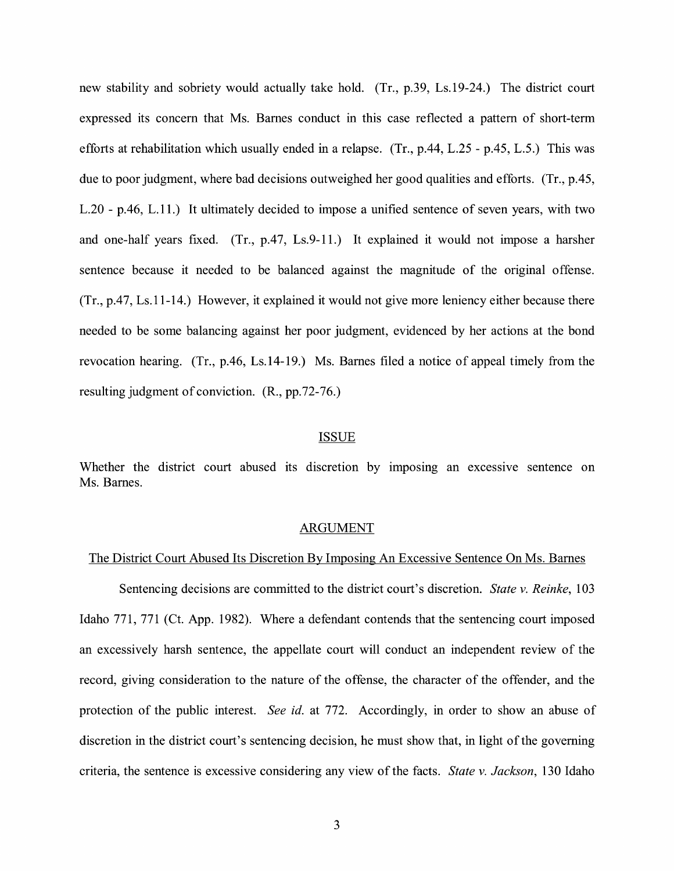new stability and sobriety would actually take hold. (Tr., p.39, Ls.19-24.) The district court expressed its concern that Ms. Barnes conduct in this case reflected a pattern of short-term efforts at rehabilitation which usually ended in a relapse. (Tr., p.44, L.25 - p.45, L.5.) This was due to poor judgment, where bad decisions outweighed her good qualities and efforts. (Tr., p.45, L.20 - p.46, L.11.) It ultimately decided to impose a unified sentence of seven years, with two and one-half years fixed. (Tr., p.47, Ls.9-11.) It explained it would not impose a harsher sentence because it needed to be balanced against the magnitude of the original offense. (Tr., p.47, Ls.11-14.) However, it explained it would not give more leniency either because there needed to be some balancing against her poor judgment, evidenced by her actions at the bond revocation hearing. (Tr., p.46, Ls.14-19.) Ms. Barnes filed a notice of appeal timely from the resulting judgment of conviction. (R., pp.72-76.)

#### ISSUE

Whether the district court abused its discretion by imposing an excessive sentence on Ms. Barnes.

#### ARGUMENT

#### The District Court Abused Its Discretion By Imposing An Excessive Sentence On Ms. Barnes

Sentencing decisions are committed to the district court's discretion. *State v. Reinke,* 103 Idaho 771, 771 (Ct. App. 1982). Where a defendant contends that the sentencing court imposed an excessively harsh sentence, the appellate court will conduct an independent review of the record, giving consideration to the nature of the offense, the character of the offender, and the protection of the public interest. *See id.* at 772. Accordingly, in order to show an abuse of discretion in the district court's sentencing decision, he must show that, in light of the governing criteria, the sentence is excessive considering any view of the facts. *State v. Jackson,* 130 Idaho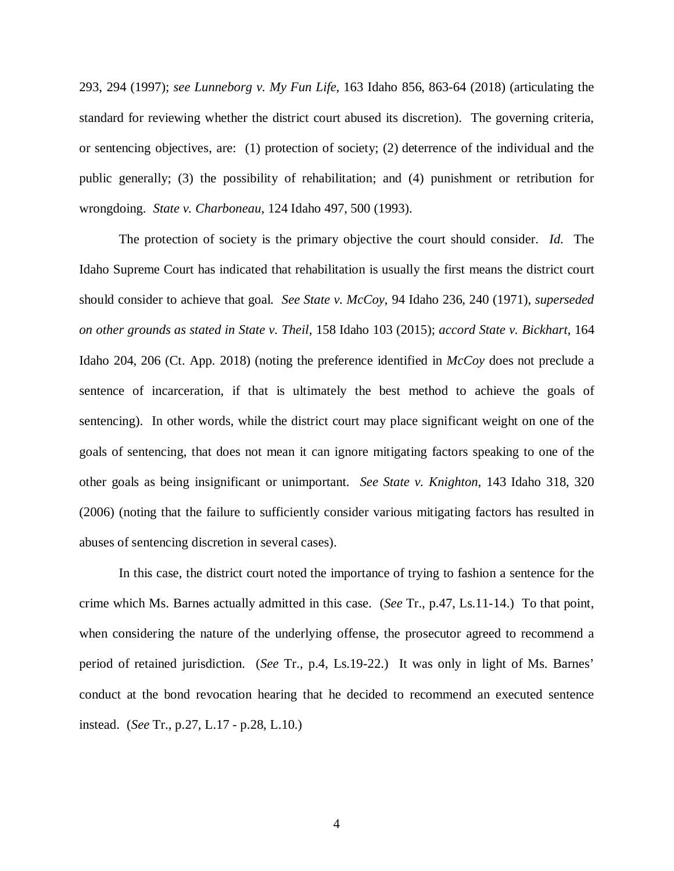293, 294 (1997); *see Lunneborg v. My Fun Life*, 163 Idaho 856, 863-64 (2018) (articulating the standard for reviewing whether the district court abused its discretion). The governing criteria, or sentencing objectives, are: (1) protection of society; (2) deterrence of the individual and the public generally; (3) the possibility of rehabilitation; and (4) punishment or retribution for wrongdoing. *State v. Charboneau*, 124 Idaho 497, 500 (1993).

The protection of society is the primary objective the court should consider. *Id*. The Idaho Supreme Court has indicated that rehabilitation is usually the first means the district court should consider to achieve that goal. *See State v. McCoy*, 94 Idaho 236, 240 (1971), *superseded on other grounds as stated in State v. Theil*, 158 Idaho 103 (2015); *accord State v. Bickhart*, 164 Idaho 204, 206 (Ct. App. 2018) (noting the preference identified in *McCoy* does not preclude a sentence of incarceration, if that is ultimately the best method to achieve the goals of sentencing). In other words, while the district court may place significant weight on one of the goals of sentencing, that does not mean it can ignore mitigating factors speaking to one of the other goals as being insignificant or unimportant. *See State v. Knighton*, 143 Idaho 318, 320 (2006) (noting that the failure to sufficiently consider various mitigating factors has resulted in abuses of sentencing discretion in several cases).

In this case, the district court noted the importance of trying to fashion a sentence for the crime which Ms. Barnes actually admitted in this case. (*See* Tr., p.47, Ls.11-14.) To that point, when considering the nature of the underlying offense, the prosecutor agreed to recommend a period of retained jurisdiction. (*See* Tr., p.4, Ls.19-22.) It was only in light of Ms. Barnes' conduct at the bond revocation hearing that he decided to recommend an executed sentence instead. (*See* Tr., p.27, L.17 - p.28, L.10.)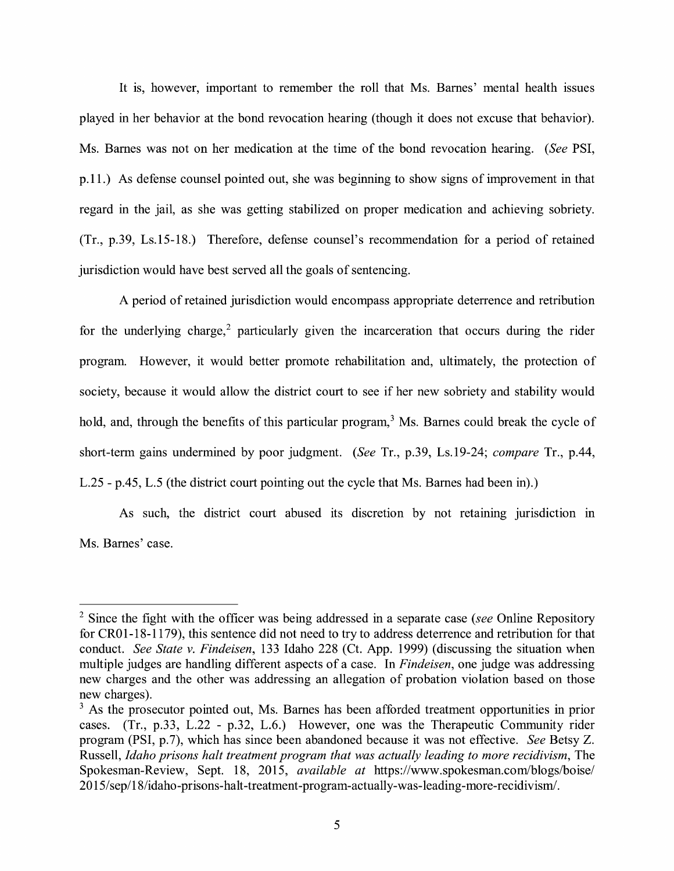It is, however, important to remember the roll that Ms. Barnes' mental health issues played in her behavior at the bond revocation hearing (though it does not excuse that behavior). Ms. Barnes was not on her medication at the time of the bond revocation hearing. *(See* PSI, p.11.) As defense counsel pointed out, she was beginning to show signs of improvement in that regard in the jail, as she was getting stabilized on proper medication and achieving sobriety. (Tr., p.39, Ls.15-18.) Therefore, defense counsel's recommendation for a period of retained jurisdiction would have best served all the goals of sentencing.

A period of retained jurisdiction would encompass appropriate deterrence and retribution for the underlying charge,<sup>2</sup> particularly given the incarceration that occurs during the rider program. However, it would better promote rehabilitation and, ultimately, the protection of society, because it would allow the district court to see if her new sobriety and stability would hold, and, through the benefits of this particular program,<sup>3</sup> Ms. Barnes could break the cycle of short-term gains undermined by poor judgment. *(See* Tr., p.39, Ls.19-24; *compare* Tr., p.44, L.25 - p.45, L.5 (the district court pointing out the cycle that Ms. Barnes had been in).)

As such, the district court abused its discretion by not retaining jurisdiction in Ms. Barnes' case.

<sup>2</sup>Since the fight with the officer was being addressed in a separate case *(see* Online Repository for CR0 1-18-1179), this sentence did not need to try to address deterrence and retribution for that conduct. *See State v. Findeisen,* 133 Idaho 228 (Ct. App. 1999) (discussing the situation when multiple judges are handling different aspects of a case. In *Findeisen,* one judge was addressing new charges and the other was addressing an allegation of probation violation based on those new charges).

<sup>&</sup>lt;sup>3</sup> As the prosecutor pointed out, Ms. Barnes has been afforded treatment opportunities in prior cases. (Tr., p.33, L.22 - p.32, L.6.) However, one was the Therapeutic Community rider program (PSI, p.7), which has since been abandoned because it was not effective. *See* Betsy Z. Russell, *Idaho prisons halt treatment program that was actually leading to more recidivism*, The Spokesman-Review, Sept. 18, 2015, *available at* https://www.spokesman.com/blogs/boise/ 2015 / sep/ 18/idaho-prisons-halt-treatment-program-actually-was-leading-more-recidivism/.